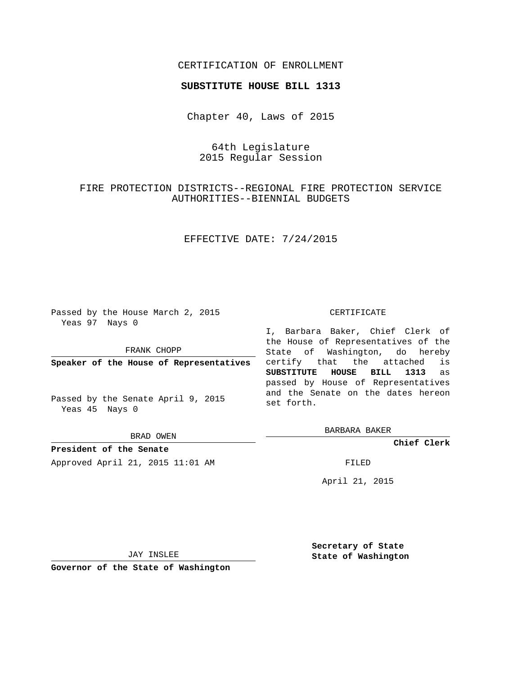## CERTIFICATION OF ENROLLMENT

#### **SUBSTITUTE HOUSE BILL 1313**

Chapter 40, Laws of 2015

# 64th Legislature 2015 Regular Session

# FIRE PROTECTION DISTRICTS--REGIONAL FIRE PROTECTION SERVICE AUTHORITIES--BIENNIAL BUDGETS

# EFFECTIVE DATE: 7/24/2015

Passed by the House March 2, 2015 Yeas 97 Nays 0

FRANK CHOPP

**Speaker of the House of Representatives**

Passed by the Senate April 9, 2015 Yeas 45 Nays 0

BRAD OWEN

**President of the Senate** Approved April 21, 2015 11:01 AM FILED

#### CERTIFICATE

I, Barbara Baker, Chief Clerk of the House of Representatives of the State of Washington, do hereby certify that the attached is **SUBSTITUTE HOUSE BILL 1313** as passed by House of Representatives and the Senate on the dates hereon set forth.

BARBARA BAKER

**Chief Clerk**

April 21, 2015

JAY INSLEE

**Governor of the State of Washington**

**Secretary of State State of Washington**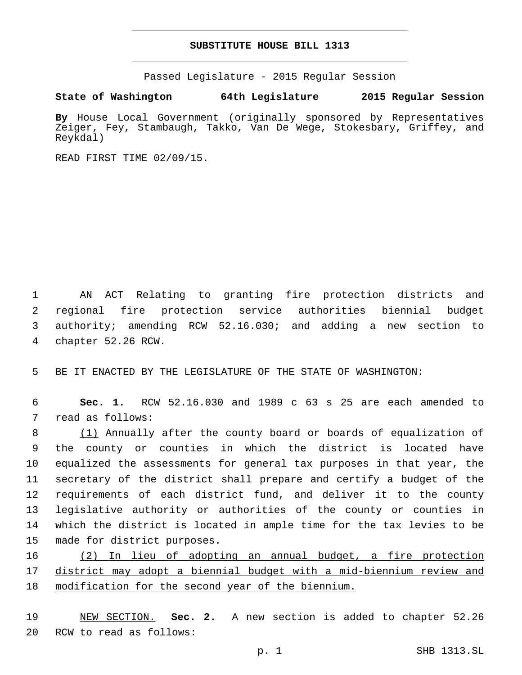## **SUBSTITUTE HOUSE BILL 1313**

Passed Legislature - 2015 Regular Session

**State of Washington 64th Legislature 2015 Regular Session**

**By** House Local Government (originally sponsored by Representatives Zeiger, Fey, Stambaugh, Takko, Van De Wege, Stokesbary, Griffey, and Reykdal)

READ FIRST TIME 02/09/15.

 AN ACT Relating to granting fire protection districts and regional fire protection service authorities biennial budget authority; amending RCW 52.16.030; and adding a new section to 4 chapter 52.26 RCW.

5 BE IT ENACTED BY THE LEGISLATURE OF THE STATE OF WASHINGTON:

6 **Sec. 1.** RCW 52.16.030 and 1989 c 63 s 25 are each amended to 7 read as follows:

 (1) Annually after the county board or boards of equalization of the county or counties in which the district is located have equalized the assessments for general tax purposes in that year, the secretary of the district shall prepare and certify a budget of the requirements of each district fund, and deliver it to the county legislative authority or authorities of the county or counties in which the district is located in ample time for the tax levies to be 15 made for district purposes.

16 (2) In lieu of adopting an annual budget, a fire protection 17 district may adopt a biennial budget with a mid-biennium review and 18 modification for the second year of the biennium.

19 NEW SECTION. **Sec. 2.** A new section is added to chapter 52.26 20 RCW to read as follows: